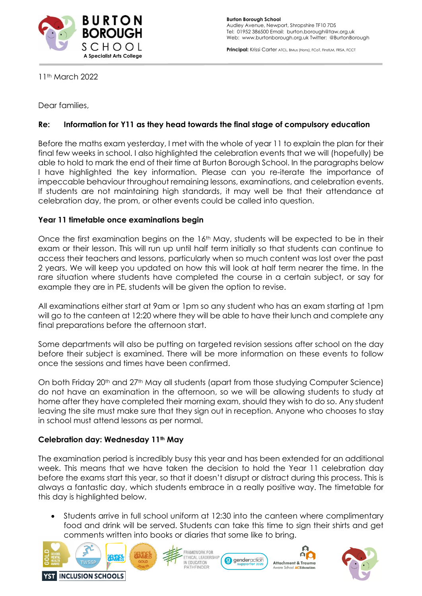

Principal: Krissi Carter ATCL, BMus (Hons), FCoT, FInstLM, FRSA, FCCT

11th March 2022

Dear families,

# **Re: Information for Y11 as they head towards the final stage of compulsory education**

Before the maths exam yesterday, I met with the whole of year 11 to explain the plan for their final few weeks in school. I also highlighted the celebration events that we will (hopefully) be able to hold to mark the end of their time at Burton Borough School. In the paragraphs below I have highlighted the key information. Please can you re-iterate the importance of impeccable behaviour throughout remaining lessons, examinations, and celebration events. If students are not maintaining high standards, it may well be that their attendance at celebration day, the prom, or other events could be called into question.

### **Year 11 timetable once examinations begin**

Once the first examination begins on the 16<sup>th</sup> May, students will be expected to be in their exam or their lesson. This will run up until half term initially so that students can continue to access their teachers and lessons, particularly when so much content was lost over the past 2 years. We will keep you updated on how this will look at half term nearer the time. In the rare situation where students have completed the course in a certain subject, or say for example they are in PE, students will be given the option to revise.

All examinations either start at 9am or 1pm so any student who has an exam starting at 1pm will go to the canteen at 12:20 where they will be able to have their lunch and complete any final preparations before the afternoon start.

Some departments will also be putting on targeted revision sessions after school on the day before their subject is examined. There will be more information on these events to follow once the sessions and times have been confirmed.

On both Friday 20<sup>th</sup> and 27<sup>th</sup> May all students (apart from those studying Computer Science) do not have an examination in the afternoon, so we will be allowing students to study at home after they have completed their morning exam, should they wish to do so. Any student leaving the site must make sure that they sign out in reception. Anyone who chooses to stay in school must attend lessons as per normal.

### **Celebration day: Wednesday 11th May**

The examination period is incredibly busy this year and has been extended for an additional week. This means that we have taken the decision to hold the Year 11 celebration day before the exams start this year, so that it doesn't disrupt or distract during this process. This is always a fantastic day, which students embrace in a really positive way. The timetable for this day is highlighted below.

• Students arrive in full school uniform at 12:30 into the canteen where complimentary food and drink will be served. Students can take this time to sign their shirts and get comments written into books or diaries that some like to bring.